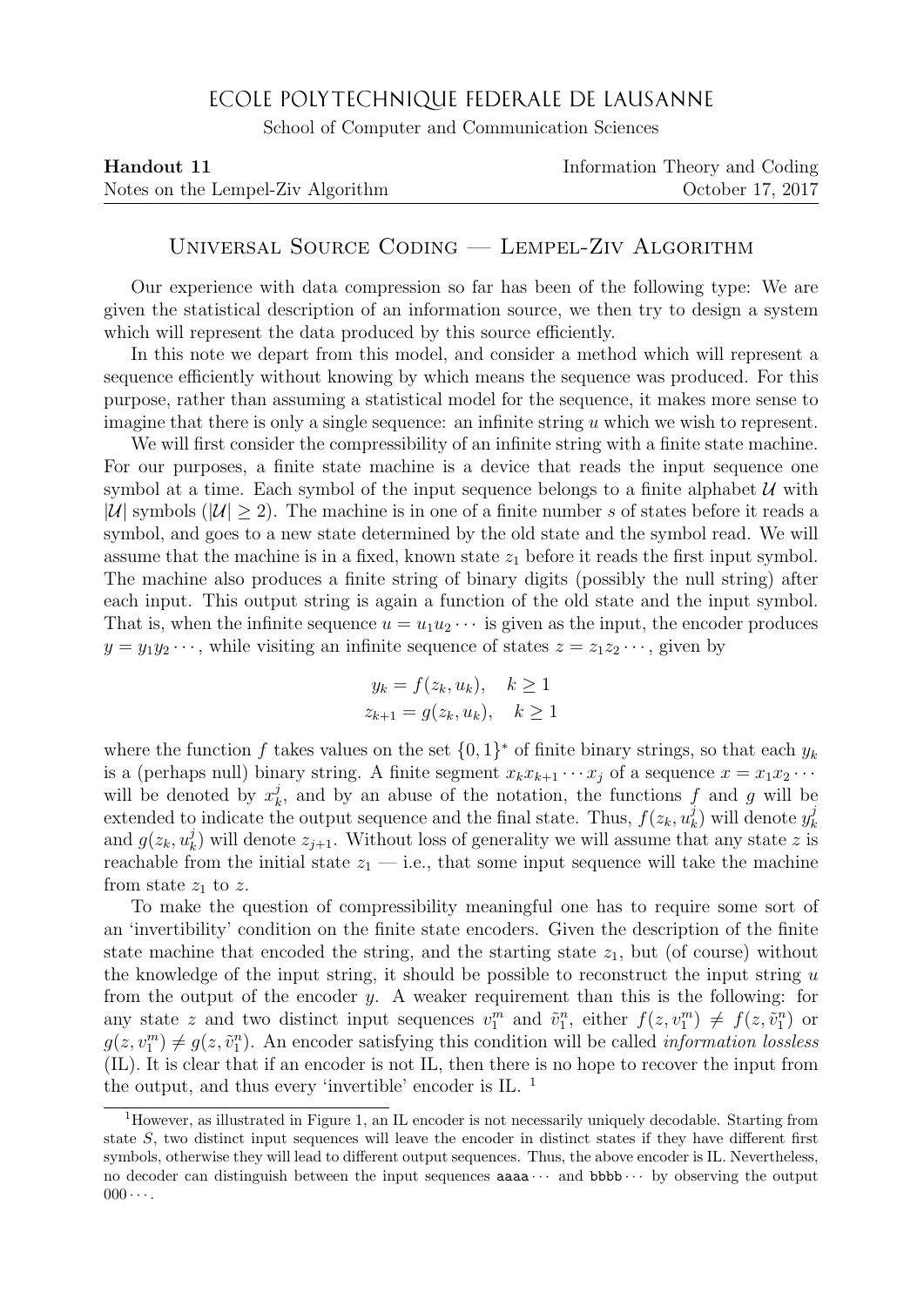## ECOLE POLYTECHNIQUE FEDERALE DE LAUSANNE

School of Computer and Communication Sciences

| Handout 11                        | Information Theory and Coding |
|-----------------------------------|-------------------------------|
| Notes on the Lempel-Ziv Algorithm | October 17, 2017              |

## Universal Source Coding — Lempel-Ziv Algorithm

Our experience with data compression so far has been of the following type: We are given the statistical description of an information source, we then try to design a system which will represent the data produced by this source efficiently.

In this note we depart from this model, and consider a method which will represent a sequence efficiently without knowing by which means the sequence was produced. For this purpose, rather than assuming a statistical model for the sequence, it makes more sense to imagine that there is only a single sequence: an infinite string u which we wish to represent.

We will first consider the compressibility of an infinite string with a finite state machine. For our purposes, a finite state machine is a device that reads the input sequence one symbol at a time. Each symbol of the input sequence belongs to a finite alphabet  $\mathcal U$  with |U| symbols ( $|U| \ge 2$ ). The machine is in one of a finite number s of states before it reads a symbol, and goes to a new state determined by the old state and the symbol read. We will assume that the machine is in a fixed, known state  $z_1$  before it reads the first input symbol. The machine also produces a finite string of binary digits (possibly the null string) after each input. This output string is again a function of the old state and the input symbol. That is, when the infinite sequence  $u = u_1 u_2 \cdots$  is given as the input, the encoder produces  $y = y_1y_2 \cdots$ , while visiting an infinite sequence of states  $z = z_1z_2 \cdots$ , given by

$$
y_k = f(z_k, u_k), \quad k \ge 1
$$
  

$$
z_{k+1} = g(z_k, u_k), \quad k \ge 1
$$

where the function f takes values on the set  $\{0,1\}^*$  of finite binary strings, so that each  $y_k$ is a (perhaps null) binary string. A finite segment  $x_k x_{k+1} \cdots x_i$  of a sequence  $x = x_1 x_2 \cdots$ will be denoted by  $x_k^j$  $\lambda_k^j$ , and by an abuse of the notation, the functions f and g will be extended to indicate the output sequence and the final state. Thus,  $f(z_k, u_k^j)$  $\binom{j}{k}$  will denote  $y_k^j$ k and  $g(z_k, u_k^j)$  $\binom{d}{k}$  will denote  $z_{j+1}$ . Without loss of generality we will assume that any state z is reachable from the initial state  $z_1$  — i.e., that some input sequence will take the machine from state  $z_1$  to z.

To make the question of compressibility meaningful one has to require some sort of an 'invertibility' condition on the finite state encoders. Given the description of the finite state machine that encoded the string, and the starting state  $z_1$ , but (of course) without the knowledge of the input string, it should be possible to reconstruct the input string  $u$ from the output of the encoder y. A weaker requirement than this is the following: for any state z and two distinct input sequences  $v_1^m$  and  $\tilde{v}_1^n$ , either  $f(z, v_1^m) \neq f(z, \tilde{v}_1^n)$  or  $g(z, v_1^m) \neq g(z, \tilde{v}_1^n)$ . An encoder satisfying this condition will be called *information lossless* (IL). It is clear that if an encoder is not IL, then there is no hope to recover the input from the output, and thus every 'invertible' encoder is IL.  $<sup>1</sup>$ </sup>

<sup>1</sup>However, as illustrated in Figure 1, an IL encoder is not necessarily uniquely decodable. Starting from state S, two distinct input sequences will leave the encoder in distinct states if they have different first symbols, otherwise they will lead to different output sequences. Thus, the above encoder is IL. Nevertheless, no decoder can distinguish between the input sequences  $aaaa...$  and  $bbb...$  by observing the output  $000 \cdots$ .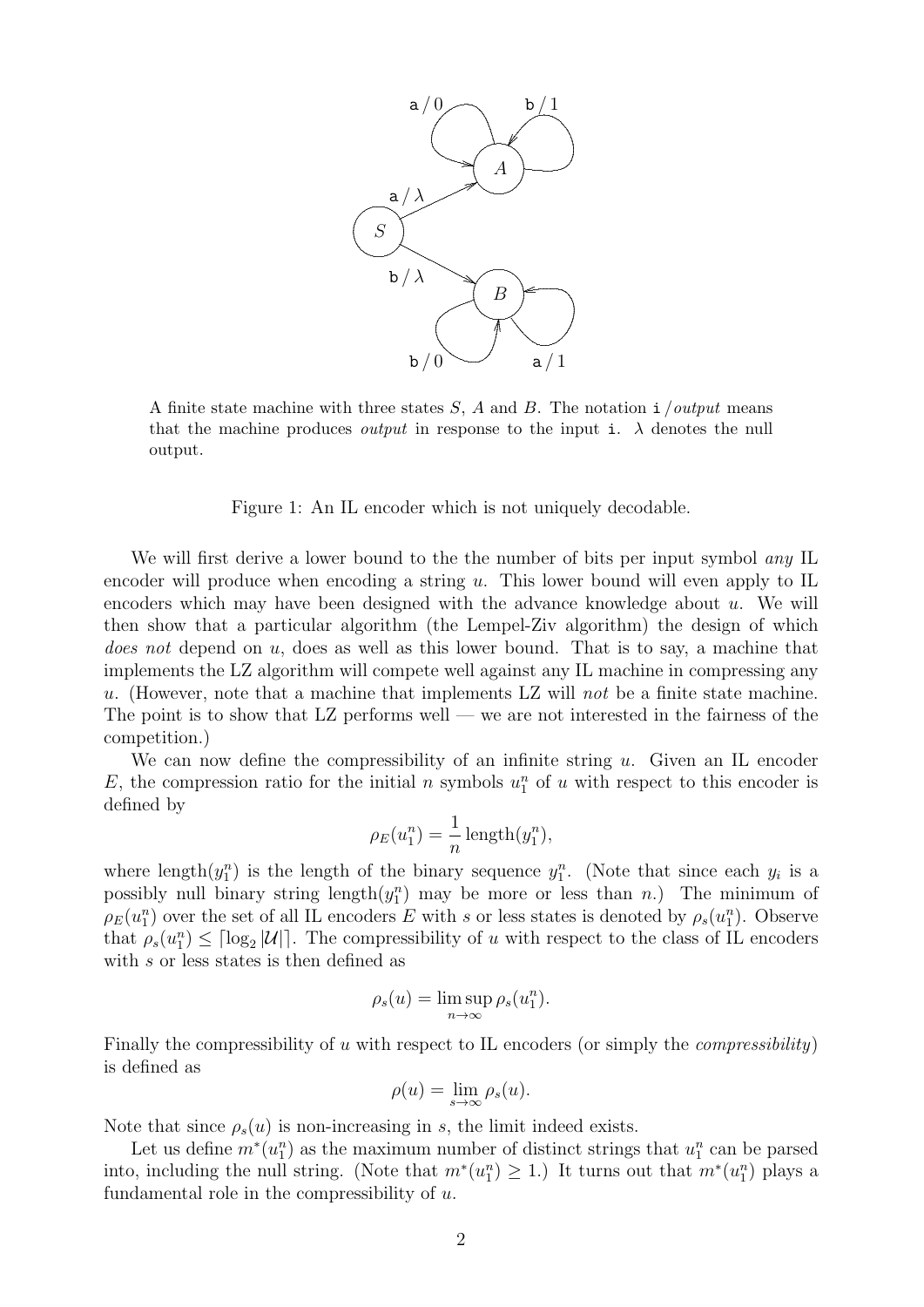

A finite state machine with three states  $S$ ,  $A$  and  $B$ . The notation i /*output* means that the machine produces *output* in response to the input i.  $\lambda$  denotes the null output.

Figure 1: An IL encoder which is not uniquely decodable.

We will first derive a lower bound to the the number of bits per input symbol *any* IL encoder will produce when encoding a string u. This lower bound will even apply to IL encoders which may have been designed with the advance knowledge about  $u$ . We will then show that a particular algorithm (the Lempel-Ziv algorithm) the design of which *does not* depend on  $u$ , does as well as this lower bound. That is to say, a machine that implements the LZ algorithm will compete well against any IL machine in compressing any u. (However, note that a machine that implements LZ will not be a finite state machine. The point is to show that  $LZ$  performs well — we are not interested in the fairness of the competition.)

We can now define the compressibility of an infinite string  $u$ . Given an IL encoder E, the compression ratio for the initial n symbols  $u_1^n$  of u with respect to this encoder is defined by

$$
\rho_E(u_1^n) = \frac{1}{n} \operatorname{length}(y_1^n),
$$

where length $(y_1^n)$  is the length of the binary sequence  $y_1^n$ . (Note that since each  $y_i$  is a possibly null binary string  $\text{length}(y_1^n)$  may be more or less than n.) The minimum of  $\rho_E(u_1^n)$  over the set of all IL encoders E with s or less states is denoted by  $\rho_s(u_1^n)$ . Observe that  $\rho_s(u_1^n) \leq \lceil \log_2 |\mathcal{U}| \rceil$ . The compressibility of u with respect to the class of IL encoders with s or less states is then defined as

$$
\rho_s(u) = \limsup_{n \to \infty} \rho_s(u_1^n).
$$

Finally the compressibility of u with respect to IL encoders (or simply the *compressibility*) is defined as

$$
\rho(u) = \lim_{s \to \infty} \rho_s(u).
$$

Note that since  $\rho_s(u)$  is non-increasing in s, the limit indeed exists.

Let us define  $m^*(u_1^n)$  as the maximum number of distinct strings that  $u_1^n$  can be parsed into, including the null string. (Note that  $m^*(u_1^n) \geq 1$ .) It turns out that  $m^*(u_1^n)$  plays a fundamental role in the compressibility of  $u$ .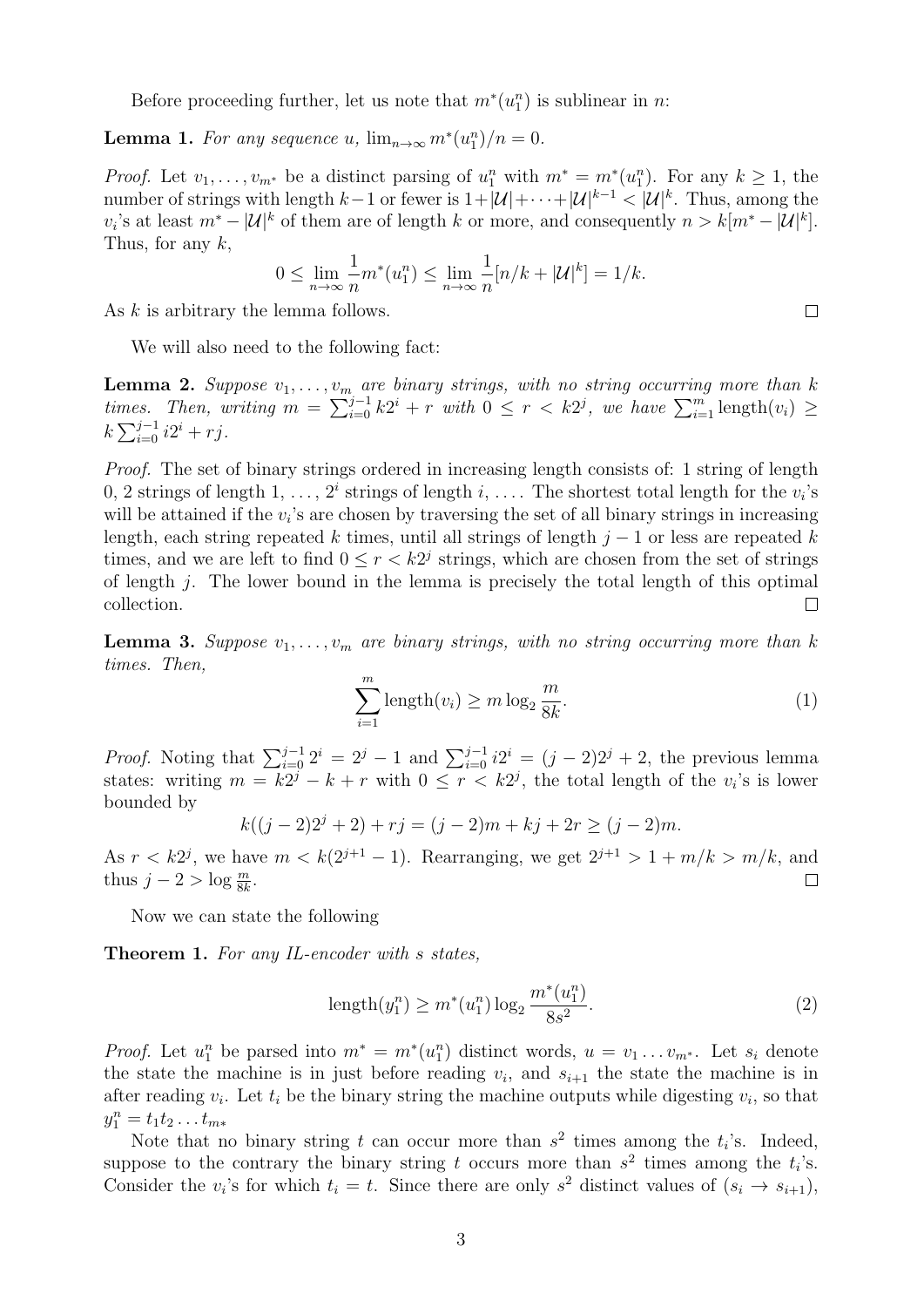Before proceeding further, let us note that  $m^*(u_1^n)$  is sublinear in n:

**Lemma 1.** For any sequence u,  $\lim_{n\to\infty} m^*(u_1^n)/n = 0$ .

*Proof.* Let  $v_1, \ldots, v_{m^*}$  be a distinct parsing of  $u_1^n$  with  $m^* = m^*(u_1^n)$ . For any  $k \ge 1$ , the number of strings with length  $k-1$  or fewer is  $1+|\mathcal{U}|+\cdots+|\mathcal{U}|^{k-1} < |\mathcal{U}|^k$ . Thus, among the  $v_i$ 's at least  $m^* - |\mathcal{U}|^k$  of them are of length k or more, and consequently  $n > k[m^* - |\mathcal{U}|^k]$ . Thus, for any  $k$ ,

$$
0 \le \lim_{n \to \infty} \frac{1}{n} m^*(u_1^n) \le \lim_{n \to \infty} \frac{1}{n} [n/k + |\mathcal{U}|^k] = 1/k.
$$

As k is arbitrary the lemma follows.

We will also need to the following fact:

**Lemma 2.** Suppose  $v_1, \ldots, v_m$  are binary strings, with no string occurring more than k times. Then, writing  $m = \sum_{i=0}^{j-1} k2^i + r$  with  $0 \le r < k2^j$ , we have  $\sum_{i=1}^{m} \text{length}(v_i) \ge$  $k\sum_{i=0}^{j-1} i2^i + rj.$ 

Proof. The set of binary strings ordered in increasing length consists of: 1 string of length 0, 2 strings of length 1, ...,  $2^i$  strings of length i, .... The shortest total length for the  $v_i$ 's will be attained if the  $v_i$ 's are chosen by traversing the set of all binary strings in increasing length, each string repeated k times, until all strings of length  $j - 1$  or less are repeated k times, and we are left to find  $0 \le r < k2<sup>j</sup>$  strings, which are chosen from the set of strings of length j. The lower bound in the lemma is precisely the total length of this optimal collection.  $\Box$ 

**Lemma 3.** Suppose  $v_1, \ldots, v_m$  are binary strings, with no string occurring more than k times. Then,

$$
\sum_{i=1}^{m} \text{length}(v_i) \ge m \log_2 \frac{m}{8k}.\tag{1}
$$

*Proof.* Noting that  $\sum_{i=0}^{j-1} 2^i = 2^j - 1$  and  $\sum_{i=0}^{j-1} i2^i = (j-2)2^j + 2$ , the previous lemma states: writing  $m = k2^j - k + r$  with  $0 \le r < k2^j$ , the total length of the  $v_i$ 's is lower bounded by

$$
k((j-2)2j+2) + rj = (j-2)m + kj + 2r \ge (j-2)m.
$$

As  $r < k2<sup>j</sup>$ , we have  $m < k(2<sup>j+1</sup> - 1)$ . Rearranging, we get  $2<sup>j+1</sup> > 1 + m/k > m/k$ , and thus  $j - 2 > \log \frac{m}{8k}$ . П

Now we can state the following

Theorem 1. For any IL-encoder with s states,

$$
length(y_1^n) \ge m^*(u_1^n) \log_2 \frac{m^*(u_1^n)}{8s^2}.
$$
\n(2)

*Proof.* Let  $u_1^n$  be parsed into  $m^* = m^*(u_1^n)$  distinct words,  $u = v_1 \ldots v_{m^*}$ . Let  $s_i$  denote the state the machine is in just before reading  $v_i$ , and  $s_{i+1}$  the state the machine is in after reading  $v_i$ . Let  $t_i$  be the binary string the machine outputs while digesting  $v_i$ , so that  $y_1^n = t_1 t_2 \dots t_{m*}$ 

Note that no binary string t can occur more than  $s^2$  times among the  $t_i$ 's. Indeed, suppose to the contrary the binary string t occurs more than  $s^2$  times among the  $t_i$ 's. Consider the  $v_i$ 's for which  $t_i = t$ . Since there are only  $s^2$  distinct values of  $(s_i \rightarrow s_{i+1}),$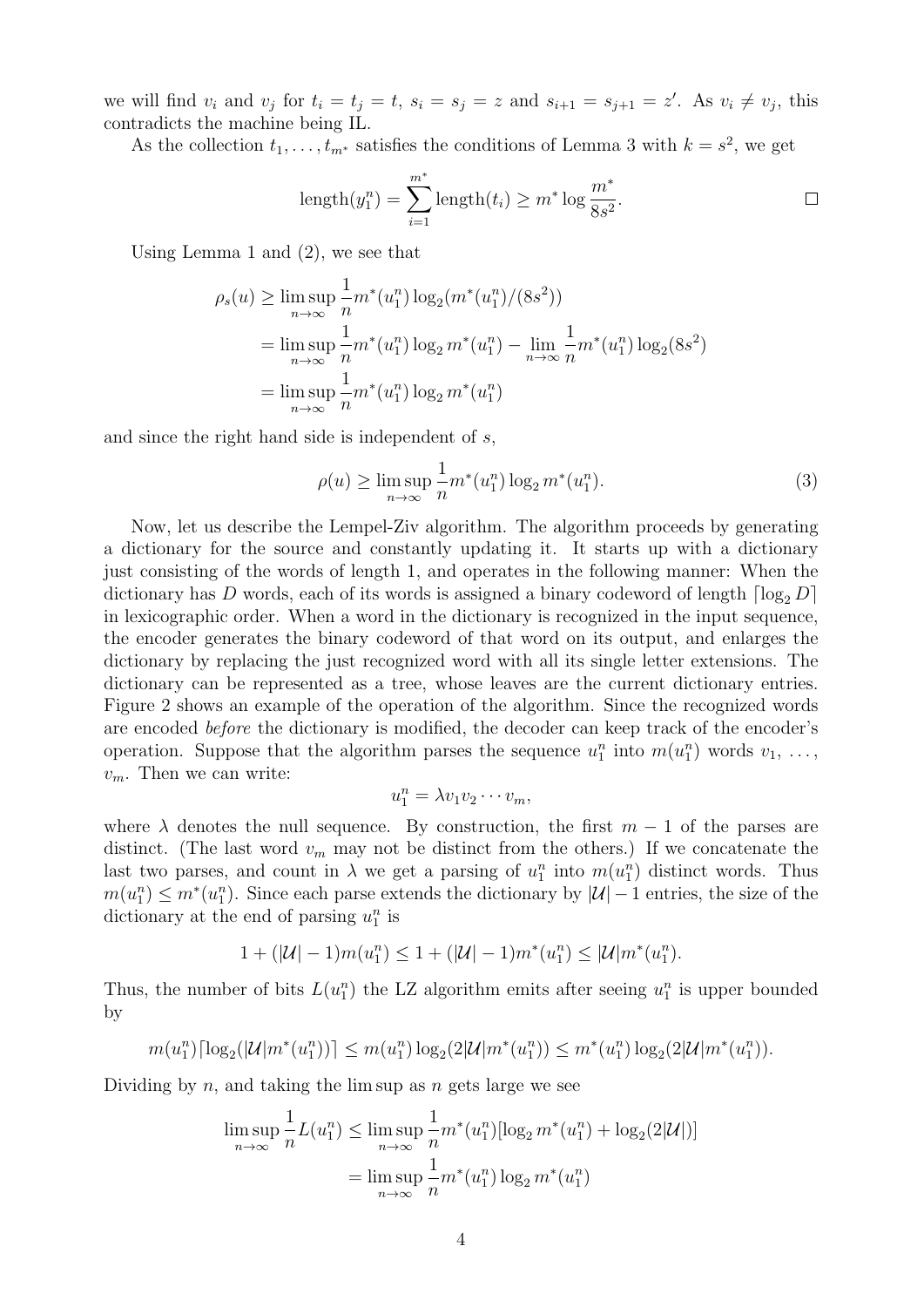we will find  $v_i$  and  $v_j$  for  $t_i = t_j = t$ ,  $s_i = s_j = z$  and  $s_{i+1} = s_{j+1} = z'$ . As  $v_i \neq v_j$ , this contradicts the machine being IL.

As the collection  $t_1, \ldots, t_{m^*}$  satisfies the conditions of Lemma 3 with  $k = s^2$ , we get

length
$$
(y_1^n)
$$
 =  $\sum_{i=1}^{m^*}$  length $(t_i) \ge m^* \log \frac{m^*}{8s^2}$ .

Using Lemma 1 and (2), we see that

$$
\rho_s(u) \ge \limsup_{n \to \infty} \frac{1}{n} m^*(u_1^n) \log_2(m^*(u_1^n)/(8s^2))
$$
  
= 
$$
\limsup_{n \to \infty} \frac{1}{n} m^*(u_1^n) \log_2 m^*(u_1^n) - \lim_{n \to \infty} \frac{1}{n} m^*(u_1^n) \log_2(8s^2)
$$
  
= 
$$
\limsup_{n \to \infty} \frac{1}{n} m^*(u_1^n) \log_2 m^*(u_1^n)
$$

and since the right hand side is independent of s,

$$
\rho(u) \ge \limsup_{n \to \infty} \frac{1}{n} m^*(u_1^n) \log_2 m^*(u_1^n). \tag{3}
$$

Now, let us describe the Lempel-Ziv algorithm. The algorithm proceeds by generating a dictionary for the source and constantly updating it. It starts up with a dictionary just consisting of the words of length 1, and operates in the following manner: When the dictionary has D words, each of its words is assigned a binary codeword of length  $\lceil \log_2 D \rceil$ in lexicographic order. When a word in the dictionary is recognized in the input sequence, the encoder generates the binary codeword of that word on its output, and enlarges the dictionary by replacing the just recognized word with all its single letter extensions. The dictionary can be represented as a tree, whose leaves are the current dictionary entries. Figure 2 shows an example of the operation of the algorithm. Since the recognized words are encoded before the dictionary is modified, the decoder can keep track of the encoder's operation. Suppose that the algorithm parses the sequence  $u_1^n$  into  $m(u_1^n)$  words  $v_1, \ldots,$  $v_m$ . Then we can write:

$$
u_1^n = \lambda v_1 v_2 \cdots v_m,
$$

where  $\lambda$  denotes the null sequence. By construction, the first  $m-1$  of the parses are distinct. (The last word  $v_m$  may not be distinct from the others.) If we concatenate the last two parses, and count in  $\lambda$  we get a parsing of  $u_1^n$  into  $m(u_1^n)$  distinct words. Thus  $m(u_1^n) \leq m^*(u_1^n)$ . Since each parse extends the dictionary by  $|\mathcal{U}| - 1$  entries, the size of the dictionary at the end of parsing  $u_1^n$  is

$$
1 + (|\mathcal{U}| - 1)m(u_1^n) \le 1 + (|\mathcal{U}| - 1)m^*(u_1^n) \le |\mathcal{U}|m^*(u_1^n).
$$

Thus, the number of bits  $L(u_1^n)$  the LZ algorithm emits after seeing  $u_1^n$  is upper bounded by

$$
m(u_1^n) \lceil \log_2(|\mathcal{U}| m^*(u_1^n)) \rceil \le m(u_1^n) \log_2(2|\mathcal{U}| m^*(u_1^n)) \le m^*(u_1^n) \log_2(2|\mathcal{U}| m^*(u_1^n)).
$$

Dividing by n, and taking the lim sup as n gets large we see

$$
\limsup_{n \to \infty} \frac{1}{n} L(u_1^n) \le \limsup_{n \to \infty} \frac{1}{n} m^*(u_1^n) [\log_2 m^*(u_1^n) + \log_2(2|\mathcal{U}|)]
$$
  
= 
$$
\limsup_{n \to \infty} \frac{1}{n} m^*(u_1^n) \log_2 m^*(u_1^n)
$$